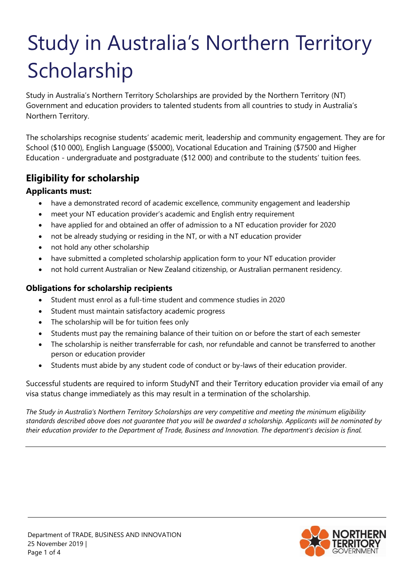# Study in Australia's Northern Territory Scholarship

Study in Australia's Northern Territory Scholarships are provided by the Northern Territory (NT) Government and education providers to talented students from all countries to study in Australia's Northern Territory.

The scholarships recognise students' academic merit, leadership and community engagement. They are for School (\$10 000), English Language (\$5000), Vocational Education and Training (\$7500 and Higher Education - undergraduate and postgraduate (\$12 000) and contribute to the students' tuition fees.

## **Eligibility for scholarship**

### **Applicants must:**

- have a demonstrated record of academic excellence, community engagement and leadership
- meet your NT education provider's academic and English entry requirement
- have applied for and obtained an offer of admission to a NT education provider for 2020
- not be already studying or residing in the NT, or with a NT education provider
- not hold any other scholarship
- have submitted a completed scholarship application form to your NT education provider
- not hold current Australian or New Zealand citizenship, or Australian permanent residency.

## **Obligations for scholarship recipients**

- Student must enrol as a full-time student and commence studies in 2020
- Student must maintain satisfactory academic progress
- The scholarship will be for tuition fees only
- Students must pay the remaining balance of their tuition on or before the start of each semester
- The scholarship is neither transferrable for cash, nor refundable and cannot be transferred to another person or education provider
- Students must abide by any student code of conduct or by-laws of their education provider.

Successful students are required to inform StudyNT and their Territory education provider via email of any visa status change immediately as this may result in a termination of the scholarship.

*The Study in Australia's Northern Territory Scholarships are very competitive and meeting the minimum eligibility standards described above does not guarantee that you will be awarded a scholarship. Applicants will be nominated by their education provider to the Department of Trade, Business and Innovation. The department's decision is final.*

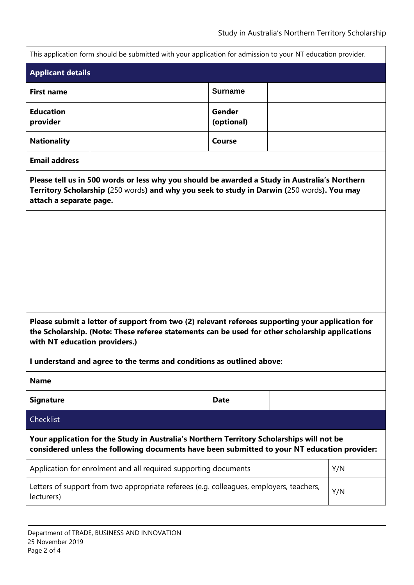|                                                                                                                                                                                                                                                                                                                            | This application form should be submitted with your application for admission to your NT education provider.                                                                              |                      |  |     |  |
|----------------------------------------------------------------------------------------------------------------------------------------------------------------------------------------------------------------------------------------------------------------------------------------------------------------------------|-------------------------------------------------------------------------------------------------------------------------------------------------------------------------------------------|----------------------|--|-----|--|
| <b>Applicant details</b>                                                                                                                                                                                                                                                                                                   |                                                                                                                                                                                           |                      |  |     |  |
| <b>First name</b>                                                                                                                                                                                                                                                                                                          |                                                                                                                                                                                           | <b>Surname</b>       |  |     |  |
| <b>Education</b><br>provider                                                                                                                                                                                                                                                                                               |                                                                                                                                                                                           | Gender<br>(optional) |  |     |  |
| <b>Nationality</b>                                                                                                                                                                                                                                                                                                         |                                                                                                                                                                                           | Course               |  |     |  |
| <b>Email address</b>                                                                                                                                                                                                                                                                                                       |                                                                                                                                                                                           |                      |  |     |  |
| Please tell us in 500 words or less why you should be awarded a Study in Australia's Northern<br>Territory Scholarship (250 words) and why you seek to study in Darwin (250 words). You may<br>attach a separate page.<br>Please submit a letter of support from two (2) relevant referees supporting your application for |                                                                                                                                                                                           |                      |  |     |  |
| the Scholarship. (Note: These referee statements can be used for other scholarship applications<br>with NT education providers.)                                                                                                                                                                                           |                                                                                                                                                                                           |                      |  |     |  |
| I understand and agree to the terms and conditions as outlined above:                                                                                                                                                                                                                                                      |                                                                                                                                                                                           |                      |  |     |  |
| <b>Name</b>                                                                                                                                                                                                                                                                                                                |                                                                                                                                                                                           |                      |  |     |  |
| <b>Signature</b>                                                                                                                                                                                                                                                                                                           |                                                                                                                                                                                           | <b>Date</b>          |  |     |  |
| Checklist                                                                                                                                                                                                                                                                                                                  |                                                                                                                                                                                           |                      |  |     |  |
|                                                                                                                                                                                                                                                                                                                            | Your application for the Study in Australia's Northern Territory Scholarships will not be<br>considered unless the following documents have been submitted to your NT education provider: |                      |  |     |  |
| Application for enrolment and all required supporting documents                                                                                                                                                                                                                                                            |                                                                                                                                                                                           |                      |  | Y/N |  |
| Letters of support from two appropriate referees (e.g. colleagues, employers, teachers,<br>lecturers)                                                                                                                                                                                                                      |                                                                                                                                                                                           |                      |  | Y/N |  |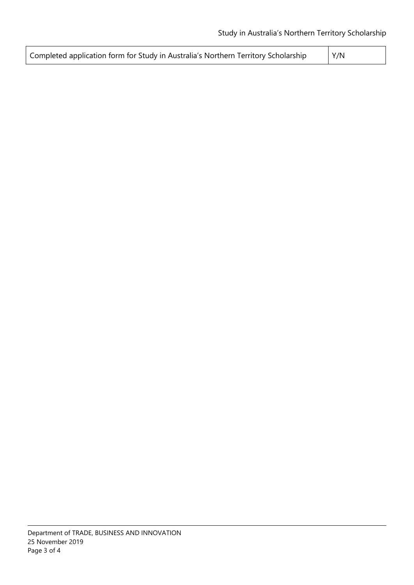| Completed application form for Study in Australia's Northern Territory Scholarship | Y/N |
|------------------------------------------------------------------------------------|-----|
|------------------------------------------------------------------------------------|-----|

 $\lfloor$